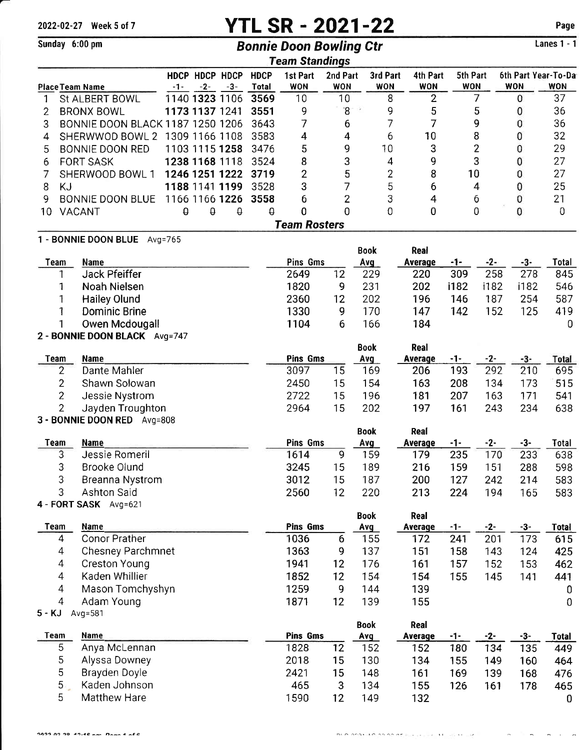# 2022-02-27 Week 5 of 7 YTL SR - 2021-22

Lanes 1 - 1

Page

| Sunday 6:00 pm                  |                                         |       |                         |       |                             | <b>Bonnie Doon Bowling Ctr</b> |                        |                    |                        |                        |                        |              |                                   | <b>Lanes 1 - 1</b>  |
|---------------------------------|-----------------------------------------|-------|-------------------------|-------|-----------------------------|--------------------------------|------------------------|--------------------|------------------------|------------------------|------------------------|--------------|-----------------------------------|---------------------|
|                                 |                                         |       |                         |       |                             | <b>Team Standings</b>          |                        |                    |                        |                        |                        |              |                                   |                     |
| <b>Place Team Name</b>          |                                         | $-1-$ | HDCP HDCP HDCP<br>$-2-$ | $-3-$ | <b>HDCP</b><br><b>Total</b> | 1st Part<br><b>WON</b>         | 2nd Part<br><b>WON</b> |                    | 3rd Part<br><b>WON</b> | 4th Part<br><b>WON</b> | 5th Part<br><b>WON</b> |              | 6th Part Year-To-Da<br><b>WON</b> | <b>WON</b>          |
| 1                               | <b>St ALBERT BOWL</b>                   |       | 1140 1323 1106          |       | 3569                        | 10                             | 10                     |                    | 8                      | $\overline{2}$         |                        | 7            | 0                                 | 37                  |
| 2                               | <b>BRONX BOWL</b>                       |       | 1173 1137 1241          |       | 3551                        | 9                              | $\mathbf{8}$           |                    | 9                      | 5                      |                        | 5            | 0                                 | 36                  |
| 3                               | <b>BONNIE DOON BLACK 1187 1250 1206</b> |       |                         |       | 3643                        | 7                              | 6                      |                    | 7                      | 7                      |                        | 9            | 0                                 | 36                  |
| 4                               | SHERWWOD BOWL 2 1309 1166 1108          |       |                         |       | 3583                        | 4                              | 4                      |                    | 6                      | 10                     |                        | 8            | 0                                 | 32                  |
| 5                               | <b>BONNIE DOON RED</b>                  |       | 1103 1115 1258          |       | 3476                        | 5                              | 9                      |                    | 10                     | 3                      |                        | 2            | 0                                 | 29                  |
| 6                               | <b>FORT SASK</b>                        |       | 1238 1168 1118          |       | 3524                        | 8                              | 3                      |                    | 4                      | 9                      |                        | 3            | 0                                 | 27                  |
|                                 | SHERWOOD BOWL 1                         |       | 1246 1251 1222          |       | 3719                        | $\overline{2}$                 | 5                      |                    | $\overline{2}$         | 8                      | 10                     |              | 0                                 | 27                  |
| 8<br><b>KJ</b>                  |                                         |       | 1188 1141 1199          |       | 3528                        |                                | 7<br>3                 |                    | 5                      | 6                      | $\overline{4}$         |              | 0                                 | 25                  |
| 9                               | <b>BONNIE DOON BLUE</b>                 |       | 1166 1166 1226          |       | 3558                        | б                              | $\overline{2}$         |                    | 3                      | $\overline{4}$         |                        | 6            | 0                                 | 21                  |
| 10                              | VACANT                                  | e.    | $\theta$                | θ     | $\pmb{\varrho}$             | 0                              | 0                      |                    | $\overline{0}$         | 0                      |                        | 0            | 0                                 | 0                   |
|                                 |                                         |       |                         |       |                             | <b>Team Rosters</b>            |                        |                    |                        |                        |                        |              |                                   |                     |
|                                 | 1 - BONNIE DOON BLUE Avg=765            |       |                         |       |                             |                                |                        |                    |                        |                        |                        |              |                                   |                     |
|                                 |                                         |       |                         |       |                             |                                |                        | <b>Book</b>        |                        | Real                   |                        |              |                                   |                     |
| <b>Team</b>                     | Name                                    |       |                         |       |                             | Pins Gms                       |                        | Avg                |                        | <b>Average</b>         | -1-                    | $-2-$        | $-3-$                             | Total               |
|                                 | <b>Jack Pfeiffer</b>                    |       |                         |       |                             | 2649                           | 12                     | 229                |                        | 220                    | 309                    | 258          | 278                               | 845                 |
| 1                               | Noah Nielsen                            |       |                         |       |                             | 1820                           | 9                      | 231                |                        | 202                    | i182                   | i182         | i182                              | 546                 |
|                                 | <b>Hailey Olund</b>                     |       |                         |       |                             | 2360                           | 12                     | 202                |                        | 196                    | 146                    | 187          | 254                               | 587                 |
| 1                               | <b>Dominic Brine</b>                    |       |                         |       |                             | 1330                           | 9                      | 170                |                        | 147                    | 142                    | 152          | 125                               | 419                 |
|                                 | Owen Mcdougall                          |       |                         |       |                             | 1104                           | 6                      | 166                |                        | 184                    |                        |              |                                   | 0                   |
|                                 | 2 - BONNIE DOON BLACK Avg=747           |       |                         |       |                             |                                |                        |                    |                        | <b>Real</b>            |                        |              |                                   |                     |
| <b>Team</b>                     | <b>Name</b>                             |       |                         |       |                             | <b>Pins Gms</b>                |                        | <b>Book</b><br>Avg |                        | <b>Average</b>         | $-1-$                  | $-2-$        | -3-                               | <b>Total</b>        |
| 2                               | Dante Mahler                            |       |                         |       |                             | 3097                           | 15                     | 169                |                        | 206                    | 193                    | 292          | 210                               | 695                 |
| $\overline{2}$                  | Shawn Solowan                           |       |                         |       |                             | 2450                           | 15                     | 154                |                        | 163                    |                        | 134          | 173                               | 515                 |
| $\overline{c}$                  | Jessie Nystrom                          |       |                         |       | 2722                        | 15                             | 196                    |                    | 181                    | 208<br>207             | 163                    | 171          | 541                               |                     |
| $\overline{2}$                  | Jayden Troughton                        |       |                         |       |                             | 2964                           | 15                     | 202                |                        | 197                    | 161                    | 243          | 234                               | 638                 |
|                                 | 3 - BONNIE DOON RED Avg=808             |       |                         |       |                             |                                |                        |                    |                        |                        |                        |              |                                   |                     |
|                                 |                                         |       |                         |       |                             |                                |                        | <b>Book</b>        |                        | Real                   |                        |              |                                   |                     |
| <b>Team</b>                     | <b>Name</b>                             |       |                         |       |                             | Pins Gms                       |                        | Avg                |                        | Average                | $-1-$                  | $-2-$        | $-3-$                             | <b>Total</b>        |
| 3                               | Jessie Romeril                          |       |                         |       |                             | 1614                           | 9                      | 159                |                        | 179                    | 235                    | 170          | 233                               | 638                 |
| 3                               | Brooke Olund                            |       |                         |       |                             | 3245                           | 15 <sub>1</sub>        | 189                |                        | 216                    | 159                    | 151          | 288                               | 598                 |
| 3                               | Breanna Nystrom                         |       |                         |       |                             | 3012                           | 15                     | 187                |                        | 200                    | 127                    | 242          | 214                               | 583                 |
| 3                               | <b>Ashton Said</b>                      |       |                         |       |                             | 2560                           | 12                     | 220                |                        | 213                    | 224                    | 194          | 165                               | 583                 |
|                                 | 4 - FORT SASK Avg=621                   |       |                         |       |                             |                                |                        |                    |                        |                        |                        |              |                                   |                     |
|                                 |                                         |       |                         |       |                             |                                |                        | <b>Book</b>        |                        | Real                   |                        |              |                                   |                     |
| Team<br>$\overline{\mathbf{4}}$ | Name<br><b>Conor Prather</b>            |       |                         |       |                             | <b>Pins Gms</b><br>1036        | 6                      | Avg<br>155         |                        | Average<br>172         | $-1-$<br>241           | $-2-$<br>201 | $-3-$<br>173                      | <b>Total</b><br>615 |
| 4                               | <b>Chesney Parchmnet</b>                |       |                         |       |                             | 1363                           | 9                      | 137                |                        | 151                    | 158                    | 143          |                                   |                     |
| $\overline{4}$                  | <b>Creston Young</b>                    |       |                         |       |                             | 1941                           | 12                     | 176                |                        | 161                    | 157                    | 152          | 124                               | 425                 |
| $\overline{4}$                  | Kaden Whillier                          |       |                         |       |                             | 1852                           |                        | 154                |                        |                        |                        |              | 153                               | 462                 |
| 4                               |                                         |       |                         |       |                             | 1259                           | 12<br>9                | 144                |                        | 154<br>139             | 155                    | 145          | 141                               | 441                 |
| 4                               | Mason Tomchyshyn<br>Adam Young          |       |                         |       |                             | 1871                           | 12                     | 139                |                        | 155                    |                        |              |                                   | 0<br>$\overline{0}$ |
| $5 - KJ$                        | Avg=581                                 |       |                         |       |                             |                                |                        |                    |                        |                        |                        |              |                                   |                     |
|                                 |                                         |       |                         |       |                             |                                |                        | <b>Book</b>        |                        | Real                   |                        |              |                                   |                     |
| <b>Team</b>                     | Name                                    |       |                         |       |                             | Pins Gms                       |                        | Avg                |                        | <b>Average</b>         | $-1-$                  | $-2-$        | $-3-$                             | <b>Total</b>        |
| 5                               | Anya McLennan                           |       |                         |       |                             | 1828                           | 12                     | 152                |                        | 152                    | 180                    | 134          | 135                               | 449                 |
| 5                               | Alyssa Downey                           |       |                         |       |                             | 2018                           | 15                     | 130                |                        | 134                    | 155                    | 149          | 160                               | 464                 |
| 5                               | Brayden Doyle                           |       |                         |       |                             | 2421                           | 15                     | 148                |                        | 161                    | 169                    | 139          | 168                               | 476                 |
| 5.                              | Kaden Johnson                           |       |                         |       |                             | 465                            | 3                      | 134                |                        | 155                    | 126                    | 161          | 178                               | 465                 |
| 5                               | <b>Matthew Hare</b>                     |       |                         |       |                             | 1590                           | 12                     | 149                |                        | 132                    |                        |              |                                   | $\mathbf 0$         |

 $\epsilon = \epsilon \sigma$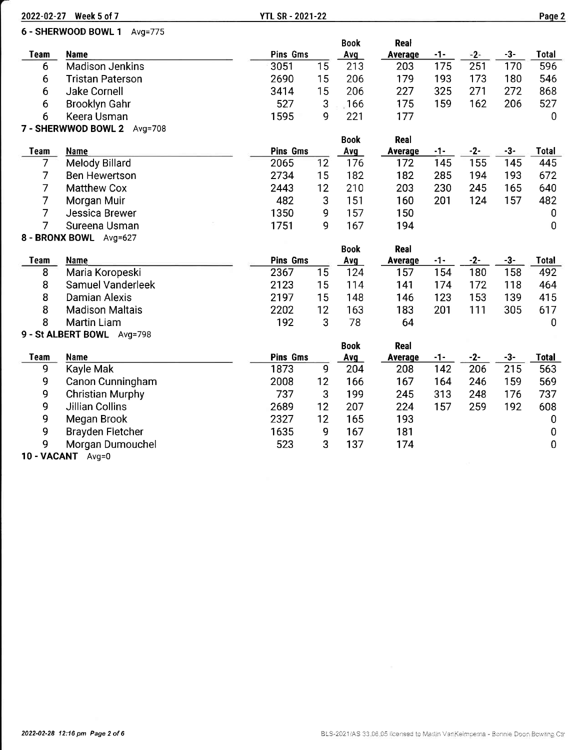|                | 2022-02-27 Week 5 of 7      | <b>YTL SR - 2021-22</b> |            |             |                |       |       |       | Page 2         |
|----------------|-----------------------------|-------------------------|------------|-------------|----------------|-------|-------|-------|----------------|
|                | 6 - SHERWOOD BOWL 1 Avg=775 |                         |            |             |                |       |       |       |                |
|                |                             |                         |            | <b>Book</b> | Real           |       |       |       |                |
| Team           | <b>Name</b>                 | Pins Gms                |            | Avg         | Average        | -1-   | $-2-$ | $-3-$ | <b>Total</b>   |
| 6              | <b>Madison Jenkins</b>      | 3051                    | 15         | 213         | 203            | 175   | 251   | 170   | 596            |
| 6              | <b>Tristan Paterson</b>     | 2690                    | 15         | 206         | 179            | 193   | 173   | 180   | 546            |
| 6              | Jake Cornell                | 3414                    | 15         | 206         | 227            | 325   | 271   | 272   | 868            |
| 6              | <b>Brooklyn Gahr</b>        | 527                     | 3          | .166        | 175            | 159   | 162   | 206   | 527            |
| 6              | Keera Usman                 | 1595                    | 9          | 221         | 177            |       |       |       | $\overline{0}$ |
|                | 7 - SHERWWOD BOWL 2 Avg=708 |                         |            |             |                |       |       |       |                |
|                |                             |                         |            | <b>Book</b> | Real           |       |       |       |                |
| <b>Team</b>    | <b>Name</b>                 | <b>Pins Gms</b>         |            | Avg         | Average        | $-1-$ | $-2-$ | $-3-$ | <b>Total</b>   |
| 7              | Melody Billard              | 2065                    | 12         | 176         | 172            | 145   | 155   | 145   | 445            |
| $\overline{7}$ | <b>Ben Hewertson</b>        | 2734                    | 15         | 182         | 182            | 285   | 194   | 193   | 672            |
| $\overline{7}$ | <b>Matthew Cox</b>          | 2443                    | 12         | 210         | 203            | 230   | 245   | 165   | 640            |
| 7              | Morgan Muir                 | 482                     | $\sqrt{3}$ | 151         | 160            | 201   | 124   | 157   | 482            |
| $\overline{7}$ | Jessica Brewer              | 1350                    | 9          | 157         | 150            |       |       |       | 0              |
| 7              | Sureena Usman               | 1751                    | 9          | 167         | 194            |       |       |       | 0              |
|                | 8 - BRONX BOWL Avg=627      |                         |            |             |                |       |       |       |                |
|                |                             |                         |            | <b>Book</b> | Real           |       |       |       |                |
| <b>Team</b>    | Name                        | <b>Pins Gms</b>         |            | Avg         | <b>Average</b> | $-1-$ | $-2-$ | $-3-$ | <b>Total</b>   |
| 8              | Maria Koropeski             | 2367                    | 15         | 124         | 157            | 154   | 180   | 158   | 492            |
| 8              | Samuel Vanderleek           | 2123                    | 15         | 114         | 141            | 174   | 172   | 118   | 464            |
| 8              | <b>Damian Alexis</b>        | 2197                    | 15         | 148         | 146            | 123   | 153   | 139   | 415            |
| 8              | <b>Madison Maltais</b>      | 2202                    | 12         | 163         | 183            | 201   | 111   | 305   | 617            |
| 8              | <b>Martin Liam</b>          | 192                     | 3          | 78          | 64             |       |       |       | 0              |
|                | 9 - St ALBERT BOWL Avg=798  |                         |            |             |                |       |       |       |                |
|                |                             |                         |            | <b>Book</b> | Real           |       |       |       |                |
| <b>Team</b>    | Name                        | <b>Pins Gms</b>         |            | Avg         | <b>Average</b> | $-1-$ | $-2-$ | $-3-$ | <b>Total</b>   |
| 9              | Kayle Mak                   | 1873                    | 9          | 204         | 208            | 142   | 206   | 215   | 563            |
| 9              | Canon Cunningham            | 2008                    | 12         | 166         | 167            | 164   | 246   | 159   | 569            |
| 9              | <b>Christian Murphy</b>     | 737                     | 3          | 199         | 245            | 313   | 248   | 176   | 737            |
| 9              | <b>Jillian Collins</b>      | 2689                    | 12         | 207         | 224            | 157   | 259   | 192   | 608            |
| 9              | Megan Brook                 | 2327                    | 12         | 165         | 193            |       |       |       | 0              |
| 9              | <b>Brayden Fletcher</b>     | 1635                    | 9          | 167         | 181            |       |       |       | 0              |
| 9              | Morgan Dumouchel            | 523                     | 3          | 137         | 174            |       |       |       | 0              |

9 Morgan Dumouchel<br>10 - VACANT Avg=0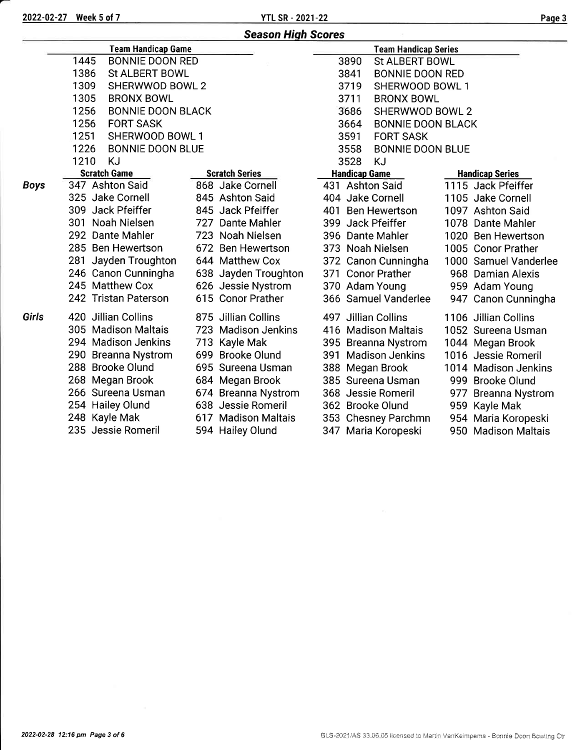2022-02-27 Week 5 of 7 YTL SR - 2021-22 Paqe <sup>3</sup>

| <b>Team Handicap Game</b><br><b>Team Handicap Series</b><br>1445<br><b>BONNIE DOON RED</b><br>3890<br><b>St ALBERT BOWL</b><br>1386<br><b>St ALBERT BOWL</b><br>3841<br><b>BONNIE DOON RED</b><br>1309<br>SHERWWOD BOWL 2<br>3719<br>SHERWOOD BOWL 1<br>1305<br><b>BRONX BOWL</b><br>3711<br><b>BRONX BOWL</b> |  |  |  |  |  |
|----------------------------------------------------------------------------------------------------------------------------------------------------------------------------------------------------------------------------------------------------------------------------------------------------------------|--|--|--|--|--|
|                                                                                                                                                                                                                                                                                                                |  |  |  |  |  |
|                                                                                                                                                                                                                                                                                                                |  |  |  |  |  |
|                                                                                                                                                                                                                                                                                                                |  |  |  |  |  |
|                                                                                                                                                                                                                                                                                                                |  |  |  |  |  |
|                                                                                                                                                                                                                                                                                                                |  |  |  |  |  |
| 1256<br><b>BONNIE DOON BLACK</b><br>3686<br>SHERWWOD BOWL 2                                                                                                                                                                                                                                                    |  |  |  |  |  |
| 1256<br>3664<br><b>FORT SASK</b><br><b>BONNIE DOON BLACK</b>                                                                                                                                                                                                                                                   |  |  |  |  |  |
| 1251<br>SHERWOOD BOWL 1<br>3591<br><b>FORT SASK</b>                                                                                                                                                                                                                                                            |  |  |  |  |  |
| 1226<br><b>BONNIE DOON BLUE</b><br>3558<br><b>BONNIE DOON BLUE</b>                                                                                                                                                                                                                                             |  |  |  |  |  |
| 1210<br>KJ<br>3528<br>KJ                                                                                                                                                                                                                                                                                       |  |  |  |  |  |
| <b>Scratch Game</b><br><b>Scratch Series</b><br><b>Handicap Game</b><br><b>Handicap Series</b>                                                                                                                                                                                                                 |  |  |  |  |  |
| 347 Ashton Said<br>868 Jake Cornell<br>1115 Jack Pfeiffer<br>431 Ashton Said<br><b>Boys</b>                                                                                                                                                                                                                    |  |  |  |  |  |
| 325 Jake Cornell<br>845 Ashton Said<br>404 Jake Cornell<br>1105 Jake Cornell                                                                                                                                                                                                                                   |  |  |  |  |  |
| 309 Jack Pfeiffer<br>845 Jack Pfeiffer<br>401 Ben Hewertson<br>1097 Ashton Said                                                                                                                                                                                                                                |  |  |  |  |  |
| 301 Noah Nielsen<br>727 Dante Mahler<br>399 Jack Pfeiffer<br>1078 Dante Mahler                                                                                                                                                                                                                                 |  |  |  |  |  |
| 292 Dante Mahler<br>723 Noah Nielsen<br>396 Dante Mahler<br>1020 Ben Hewertson                                                                                                                                                                                                                                 |  |  |  |  |  |
| 285 Ben Hewertson<br>672 Ben Hewertson<br>373 Noah Nielsen<br>1005 Conor Prather                                                                                                                                                                                                                               |  |  |  |  |  |
| 281 Jayden Troughton<br>644 Matthew Cox<br>372 Canon Cunningha<br>1000 Samuel Vanderlee                                                                                                                                                                                                                        |  |  |  |  |  |
| 246 Canon Cunningha<br>371 Conor Prather<br>638 Jayden Troughton<br>968 Damian Alexis                                                                                                                                                                                                                          |  |  |  |  |  |
| 245 Matthew Cox<br>626 Jessie Nystrom<br>370 Adam Young<br>959 Adam Young                                                                                                                                                                                                                                      |  |  |  |  |  |
| 615 Conor Prather<br>242 Tristan Paterson<br>366 Samuel Vanderlee<br>947 Canon Cunningha                                                                                                                                                                                                                       |  |  |  |  |  |
| Girls<br>420 Jillian Collins<br>875 Jillian Collins<br>497 Jillian Collins<br>1106 Jillian Collins                                                                                                                                                                                                             |  |  |  |  |  |
| 305 Madison Maltais<br>723 Madison Jenkins<br>416 Madison Maltais<br>1052 Sureena Usman                                                                                                                                                                                                                        |  |  |  |  |  |
| 294 Madison Jenkins<br>713 Kayle Mak<br>1044 Megan Brook<br>395 Breanna Nystrom                                                                                                                                                                                                                                |  |  |  |  |  |
| 699 Brooke Olund<br>290 Breanna Nystrom<br><b>Madison Jenkins</b><br>391<br>1016 Jessie Romeril                                                                                                                                                                                                                |  |  |  |  |  |
| 288 Brooke Olund<br>695 Sureena Usman<br>388 Megan Brook<br>1014 Madison Jenkins                                                                                                                                                                                                                               |  |  |  |  |  |
| 268 Megan Brook<br>684 Megan Brook<br>385 Sureena Usman<br>999 Brooke Olund                                                                                                                                                                                                                                    |  |  |  |  |  |
| 266 Sureena Usman<br>674 Breanna Nystrom<br>368 Jessie Romeril<br>977<br><b>Breanna Nystrom</b>                                                                                                                                                                                                                |  |  |  |  |  |
| 254 Hailey Olund<br>638 Jessie Romeril<br>362 Brooke Olund<br>959 Kayle Mak                                                                                                                                                                                                                                    |  |  |  |  |  |
| 248 Kayle Mak<br>617 Madison Maltais<br>353 Chesney Parchmn<br>954 Maria Koropeski                                                                                                                                                                                                                             |  |  |  |  |  |
| 235 Jessie Romeril<br>594 Hailey Olund<br>347 Maria Koropeski<br>950 Madison Maltais                                                                                                                                                                                                                           |  |  |  |  |  |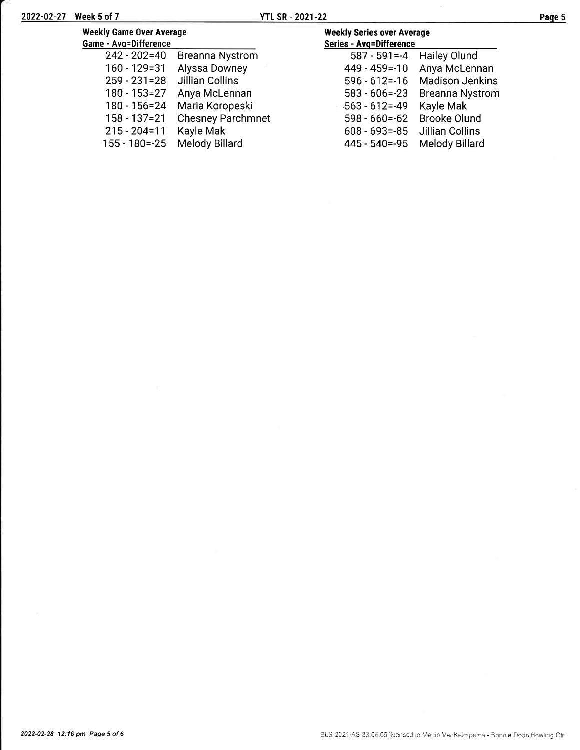| <b>Weekly Game Over Average</b><br>Game - Avg=Difference |                          | <b>Weekly Series over Average</b><br><b>Series - Avg=Difference</b> |                        |
|----------------------------------------------------------|--------------------------|---------------------------------------------------------------------|------------------------|
| $242 - 202 = 40$                                         | <b>Breanna Nystrom</b>   | $587 - 591 = -4$                                                    | Hailey Olund           |
| 160 - 129 = 31                                           | Alyssa Downey            | 449 - 459 = - 10                                                    | Anya McLennan          |
| $259 - 231 = 28$                                         | <b>Jillian Collins</b>   | $596 - 612 = -16$                                                   | <b>Madison Jenkins</b> |
| 180 - 153=27                                             | Anya McLennan            | $583 - 606 = -23$                                                   | <b>Breanna Nystrom</b> |
| $180 - 156 = 24$                                         | Maria Koropeski          | $-563 - 612 = -49$                                                  | Kayle Mak              |
| $158 - 137 = 21$                                         | <b>Chesney Parchmnet</b> | $598 - 660 = -62$                                                   | <b>Brooke Olund</b>    |
| $215 - 204 = 11$                                         | Kayle Mak                | $608 - 693 = -85$                                                   | Jillian Collins        |
| $155 - 180 = -25$                                        | Melody Billard           | $445 - 540 = -95$                                                   | Melody Billard         |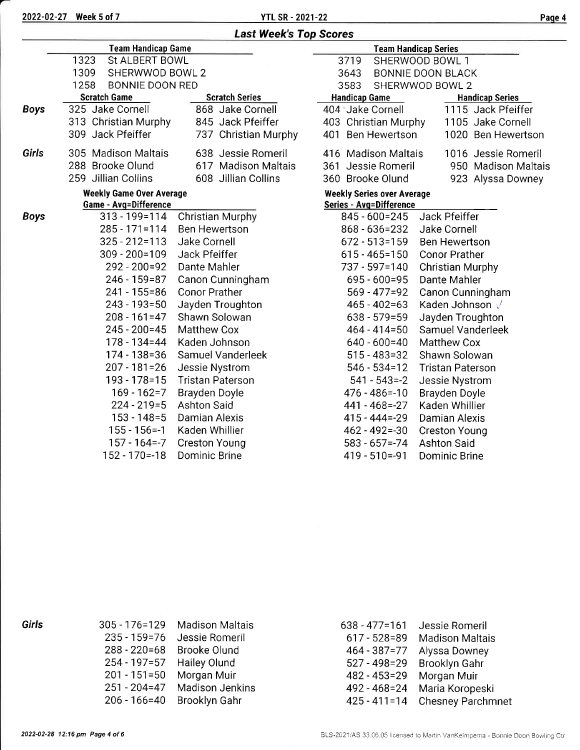2022-02-27 Week 5 of 7 YTL SR - 2021-22

### Last Week's Top Scores

|             | <b>Team Handicap Game</b>                 |                         | <b>Team Handicap Series</b>       |                         |  |  |  |  |
|-------------|-------------------------------------------|-------------------------|-----------------------------------|-------------------------|--|--|--|--|
|             | 1323<br>St ALBERT BOWL                    |                         | SHERWOOD BOWL 1<br>3719           |                         |  |  |  |  |
|             | 1309<br>SHERWWOD BOWL 2                   |                         | 3643<br><b>BONNIE DOON BLACK</b>  |                         |  |  |  |  |
|             | 1258<br><b>BONNIE DOON RED</b>            |                         | 3583                              | SHERWWOD BOWL 2         |  |  |  |  |
|             | <b>Scratch Game</b>                       | <b>Scratch Series</b>   | <b>Handicap Game</b>              | <b>Handicap Series</b>  |  |  |  |  |
| <b>Boys</b> | 325 Jake Cornell                          | 868 Jake Cornell        | 404 Jake Cornell                  | 1115 Jack Pfeiffer      |  |  |  |  |
|             | 313 Christian Murphy                      | 845 Jack Pfeiffer       | 403 Christian Murphy              | 1105 Jake Cornell       |  |  |  |  |
|             | 309 Jack Pfeiffer                         | 737 Christian Murphy    | 401 Ben Hewertson                 | 1020 Ben Hewertson      |  |  |  |  |
| Girls       | 305 Madison Maltais                       | 638 Jessie Romeril      | 416 Madison Maltais               | 1016 Jessie Romeril     |  |  |  |  |
|             | 288 Brooke Olund                          | 617 Madison Maltais     | 361<br>Jessie Romeril             | 950 Madison Maltais     |  |  |  |  |
|             | 259 Jillian Collins                       | 608 Jillian Collins     | 360 Brooke Olund                  | 923 Alyssa Downey       |  |  |  |  |
|             | <b>Weekly Game Over Average</b>           |                         | <b>Weekly Series over Average</b> |                         |  |  |  |  |
|             | <b>Game - Avg=Difference</b>              |                         | Series - Avg=Difference           |                         |  |  |  |  |
| <b>Boys</b> | $313 - 199 = 114$                         | Christian Murphy        | $845 - 600 = 245$                 | Jack Pfeiffer           |  |  |  |  |
|             | $285 - 171 = 114$<br><b>Ben Hewertson</b> |                         | 868 - 636 = 232                   | Jake Cornell            |  |  |  |  |
|             | $325 - 212 = 113$<br>Jake Cornell         |                         | $672 - 513 = 159$                 | <b>Ben Hewertson</b>    |  |  |  |  |
|             | $309 - 200 = 109$                         | Jack Pfeiffer           | $615 - 465 = 150$                 | <b>Conor Prather</b>    |  |  |  |  |
|             | $292 - 200 = 92$                          | Dante Mahler            | 737 - 597=140                     | <b>Christian Murphy</b> |  |  |  |  |
|             | 246 - 159=87                              | Canon Cunningham        | $695 - 600 = 95$                  | Dante Mahler            |  |  |  |  |
|             | $241 - 155 = 86$                          | <b>Conor Prather</b>    | $569 - 477 = 92$                  | Canon Cunningham        |  |  |  |  |
|             | $243 - 193 = 50$                          | Jayden Troughton        | $465 - 402 = 63$                  | Kaden Johnson V         |  |  |  |  |
|             | $208 - 161 = 47$                          | Shawn Solowan           | $638 - 579 = 59$                  | Jayden Troughton        |  |  |  |  |
|             | $245 - 200 = 45$                          | <b>Matthew Cox</b>      | $464 - 414 = 50$                  | Samuel Vanderleek       |  |  |  |  |
|             | $178 - 134 = 44$                          | Kaden Johnson           | $640 - 600 = 40$                  | <b>Matthew Cox</b>      |  |  |  |  |
|             | $174 - 138 = 36$                          | Samuel Vanderleek       | $515 - 483 = 32$                  | Shawn Solowan           |  |  |  |  |
|             | $207 - 181 = 26$                          | Jessie Nystrom          | $546 - 534 = 12$                  | <b>Tristan Paterson</b> |  |  |  |  |
|             | $193 - 178 = 15$                          | <b>Tristan Paterson</b> | $541 - 543 = -2$                  | Jessie Nystrom          |  |  |  |  |
|             | $169 - 162 = 7$                           | Brayden Doyle           | 476 - 486 = - 10                  | Brayden Doyle           |  |  |  |  |
|             | $224 - 219 = 5$                           | <b>Ashton Said</b>      | $441 - 468 = -27$                 | Kaden Whillier          |  |  |  |  |
|             | $153 - 148 = 5$                           | Damian Alexis           | $415 - 444 = -29$                 | Damian Alexis           |  |  |  |  |
|             | $155 - 156 = -1$                          | Kaden Whillier          | $462 - 492 = -30$                 | <b>Creston Young</b>    |  |  |  |  |
|             | $157 - 164 = -7$                          | <b>Creston Young</b>    | $583 - 657 = -74$                 | <b>Ashton Said</b>      |  |  |  |  |
|             | 152 - 170 = - 18                          | <b>Dominic Brine</b>    | 419 - 510 = - 91                  | <b>Dominic Brine</b>    |  |  |  |  |

| 305 - 176=129    | <b>Madison Maltais</b> |
|------------------|------------------------|
| $235 - 159 = 76$ | Jessie Romeril         |
| $288 - 220 = 68$ | <b>Brooke Olund</b>    |
| $254 - 197 = 57$ | Hailey Olund           |
| $201 - 151 = 50$ | Morgan Muir            |
| $251 - 204 = 47$ | <b>Madison Jenkins</b> |
| $206 - 166 = 40$ | Brooklyn Gahr          |

| $638 - 477 = 161$ | Jessie Romeril           |
|-------------------|--------------------------|
| $617 - 528 = 89$  | <b>Madison Maltais</b>   |
| 464 - 387 = 77    | Alyssa Downey            |
| $527 - 498 = 29$  | <b>Brooklyn Gahr</b>     |
| $482 - 453 = 29$  | Morgan Muir              |
| 492 - 468 = 24    | Maria Koropeski          |
| $425 - 411 = 14$  | <b>Chesney Parchmnet</b> |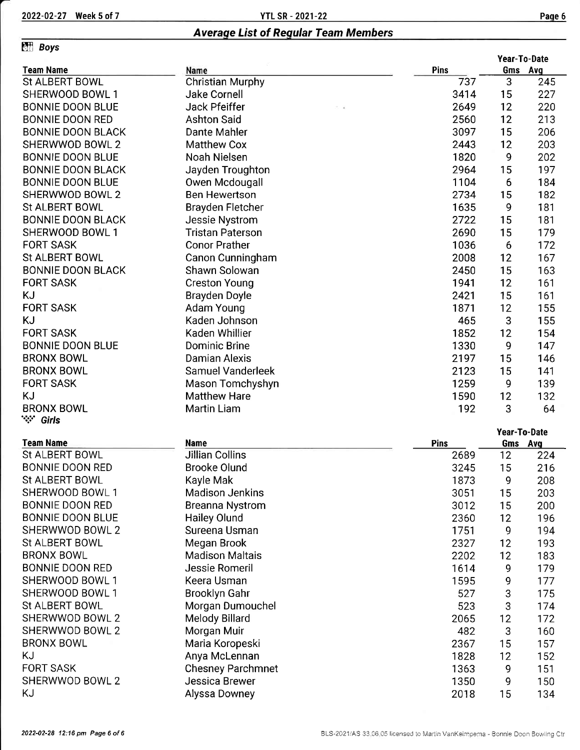## Averaqe List of Reqular Team Members

### **Effi** Boys

|                          |                          | Year-To-Date |              |     |
|--------------------------|--------------------------|--------------|--------------|-----|
| <b>Team Name</b>         | Name                     | Pins         | Gms Avg      |     |
| St ALBERT BOWL           | <b>Christian Murphy</b>  | 737          | 3            | 245 |
| SHERWOOD BOWL 1          | Jake Cornell             | 3414         | 15           | 227 |
| <b>BONNIE DOON BLUE</b>  | Jack Pfeiffer            | 2649         | 12           | 220 |
| <b>BONNIE DOON RED</b>   | <b>Ashton Said</b>       | 2560         | 12           | 213 |
| <b>BONNIE DOON BLACK</b> | Dante Mahler             | 3097         | 15           | 206 |
| SHERWWOD BOWL 2          | <b>Matthew Cox</b>       | 2443         | 12           | 203 |
| <b>BONNIE DOON BLUE</b>  | Noah Nielsen             | 1820         | 9            | 202 |
| <b>BONNIE DOON BLACK</b> | Jayden Troughton         | 2964         | 15           | 197 |
| <b>BONNIE DOON BLUE</b>  | Owen Mcdougall           | 1104         | 6            | 184 |
| SHERWWOD BOWL 2          | <b>Ben Hewertson</b>     | 2734         | 15           | 182 |
| St ALBERT BOWL           | Brayden Fletcher         | 1635         | 9            | 181 |
| <b>BONNIE DOON BLACK</b> | Jessie Nystrom           | 2722         | 15           | 181 |
| SHERWOOD BOWL 1          | <b>Tristan Paterson</b>  | 2690         | 15           | 179 |
| <b>FORT SASK</b>         | <b>Conor Prather</b>     | 1036         | 6            | 172 |
| <b>St ALBERT BOWL</b>    | Canon Cunningham         | 2008         | 12           | 167 |
| <b>BONNIE DOON BLACK</b> | Shawn Solowan            | 2450         | 15           | 163 |
| <b>FORT SASK</b>         | <b>Creston Young</b>     | 1941         | 12           | 161 |
| KJ                       | <b>Brayden Doyle</b>     | 2421         | 15           | 161 |
| <b>FORT SASK</b>         | Adam Young               | 1871         | 12           | 155 |
| KJ                       | Kaden Johnson            | 465          | 3            | 155 |
| <b>FORT SASK</b>         | Kaden Whillier           | 1852         | 12           | 154 |
| <b>BONNIE DOON BLUE</b>  | Dominic Brine            | 1330         | 9            | 147 |
| <b>BRONX BOWL</b>        | Damian Alexis            | 2197         | 15           | 146 |
| <b>BRONX BOWL</b>        | Samuel Vanderleek        | 2123         | 15           | 141 |
| <b>FORT SASK</b>         | Mason Tomchyshyn         | 1259         | 9            | 139 |
| <b>KJ</b>                | <b>Matthew Hare</b>      | 1590         | 12           | 132 |
| <b>BRONX BOWL</b>        | <b>Martin Liam</b>       | 192          | 3            | 64  |
| `∵∵ Girls                |                          |              |              |     |
|                          |                          |              | Year-To-Date |     |
| <b>Team Name</b>         | <b>Name</b>              | Pins         | Gms Avg      |     |
| St ALBERT BOWL           | <b>Jillian Collins</b>   | 2689         | 12           | 224 |
| <b>BONNIE DOON RED</b>   | <b>Brooke Olund</b>      | 3245         | 15           | 216 |
| St ALBERT BOWL           | Kayle Mak                | 1873         | 9            | 208 |
| SHERWOOD BOWL 1          | <b>Madison Jenkins</b>   | 3051         | 15           | 203 |
| <b>BONNIE DOON RED</b>   | <b>Breanna Nystrom</b>   | 3012         | 15           | 200 |
| <b>BONNIE DOON BLUE</b>  | <b>Hailey Olund</b>      | 2360         | 12           | 196 |
| SHERWWOD BOWL 2          | Sureena Usman            | 1751         | 9            | 194 |
| St ALBERT BOWL           | Megan Brook              | 2327         | 12           | 193 |
| <b>BRONX BOWL</b>        | <b>Madison Maltais</b>   | 2202         | 12           | 183 |
| <b>BONNIE DOON RED</b>   | Jessie Romeril           | 1614         | 9            | 179 |
| SHERWOOD BOWL 1          | Keera Usman              | 1595         | 9            | 177 |
| SHERWOOD BOWL 1          | <b>Brooklyn Gahr</b>     | 527          |              | 175 |
| St ALBERT BOWL           |                          |              | 3            |     |
| SHERWWOD BOWL 2          | Morgan Dumouchel         | 523          | 3            | 174 |
|                          | Melody Billard           | 2065         | 12           | 172 |
| SHERWWOD BOWL 2          | Morgan Muir              | 482          | 3            | 160 |
| <b>BRONX BOWL</b>        | Maria Koropeski          | 2367         | 15           | 157 |
| KJ                       | Anya McLennan            | 1828         | 12           | 152 |
| <b>FORT SASK</b>         | <b>Chesney Parchmnet</b> | 1363         | 9            | 151 |
| SHERWWOD BOWL 2          | Jessica Brewer           | 1350         | 9            | 150 |
| ΚJ                       | Alyssa Downey            | 2018         | 15           | 134 |